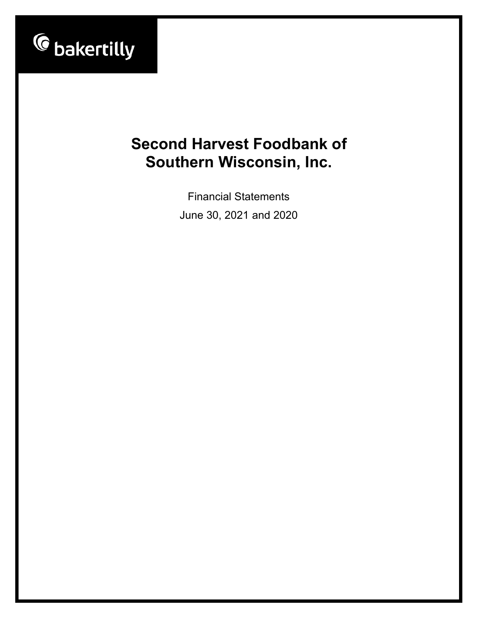

Financial Statements June 30, 2021 and 2020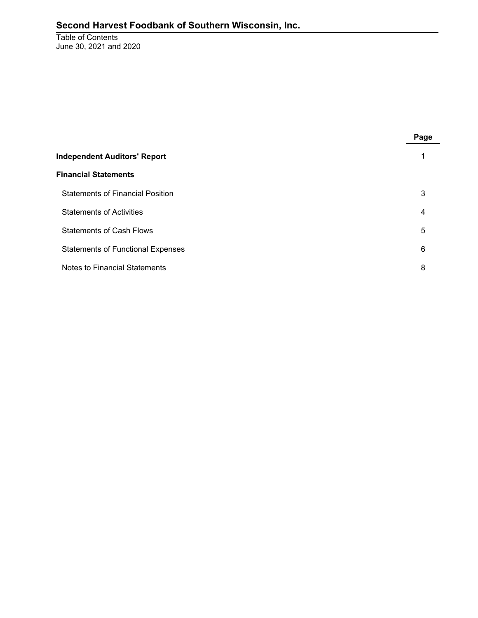Table of Contents June 30, 2021 and 2020

|                                          | Page |
|------------------------------------------|------|
| <b>Independent Auditors' Report</b>      |      |
| <b>Financial Statements</b>              |      |
| <b>Statements of Financial Position</b>  | 3    |
| <b>Statements of Activities</b>          | 4    |
| <b>Statements of Cash Flows</b>          | 5    |
| <b>Statements of Functional Expenses</b> | 6    |
| Notes to Financial Statements            | 8    |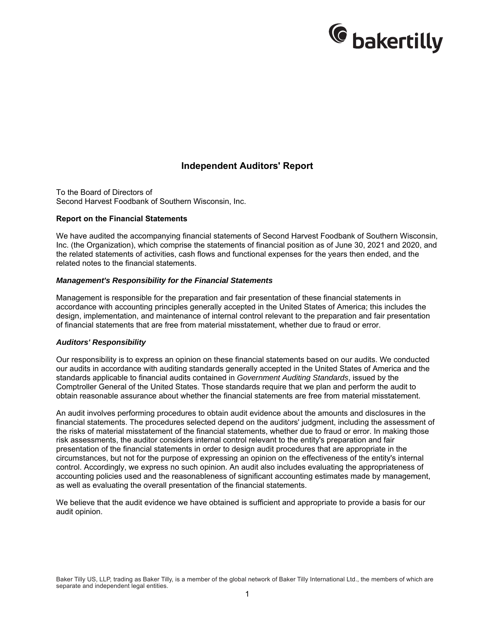

# **Independent Auditors' Report**

To the Board of Directors of Second Harvest Foodbank of Southern Wisconsin, Inc.

#### **Report on the Financial Statements**

We have audited the accompanying financial statements of Second Harvest Foodbank of Southern Wisconsin, Inc. (the Organization), which comprise the statements of financial position as of June 30, 2021 and 2020, and the related statements of activities, cash flows and functional expenses for the years then ended, and the related notes to the financial statements.

#### *Management's Responsibility for the Financial Statements*

Management is responsible for the preparation and fair presentation of these financial statements in accordance with accounting principles generally accepted in the United States of America; this includes the design, implementation, and maintenance of internal control relevant to the preparation and fair presentation of financial statements that are free from material misstatement, whether due to fraud or error.

#### *Auditors' Responsibility*

Our responsibility is to express an opinion on these financial statements based on our audits. We conducted our audits in accordance with auditing standards generally accepted in the United States of America and the standards applicable to financial audits contained in *Government Auditing Standards*, issued by the Comptroller General of the United States. Those standards require that we plan and perform the audit to obtain reasonable assurance about whether the financial statements are free from material misstatement.

An audit involves performing procedures to obtain audit evidence about the amounts and disclosures in the financial statements. The procedures selected depend on the auditors' judgment, including the assessment of the risks of material misstatement of the financial statements, whether due to fraud or error. In making those risk assessments, the auditor considers internal control relevant to the entity's preparation and fair presentation of the financial statements in order to design audit procedures that are appropriate in the circumstances, but not for the purpose of expressing an opinion on the effectiveness of the entity's internal control. Accordingly, we express no such opinion. An audit also includes evaluating the appropriateness of accounting policies used and the reasonableness of significant accounting estimates made by management, as well as evaluating the overall presentation of the financial statements.

We believe that the audit evidence we have obtained is sufficient and appropriate to provide a basis for our audit opinion.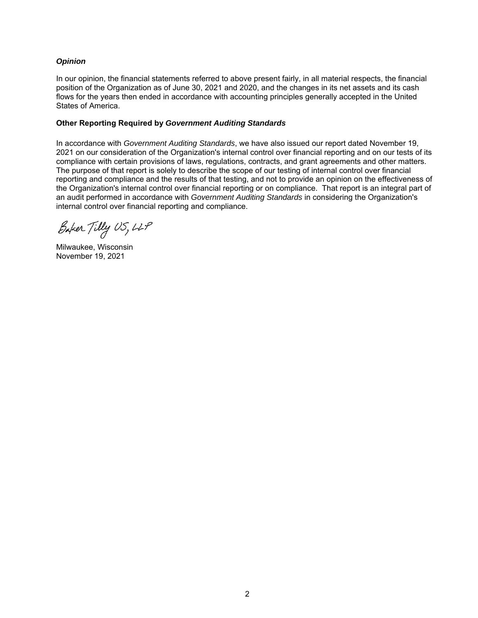#### *Opinion*

In our opinion, the financial statements referred to above present fairly, in all material respects, the financial position of the Organization as of June 30, 2021 and 2020, and the changes in its net assets and its cash flows for the years then ended in accordance with accounting principles generally accepted in the United States of America.

#### **Other Reporting Required by** *Government Auditing Standards*

In accordance with *Government Auditing Standards*, we have also issued our report dated November 19, 2021 on our consideration of the Organization's internal control over financial reporting and on our tests of its compliance with certain provisions of laws, regulations, contracts, and grant agreements and other matters. The purpose of that report is solely to describe the scope of our testing of internal control over financial reporting and compliance and the results of that testing, and not to provide an opinion on the effectiveness of the Organization's internal control over financial reporting or on compliance. That report is an integral part of an audit performed in accordance with *Government Auditing Standards* in considering the Organization's internal control over financial reporting and compliance.

Baker Tilly US, LLP

Milwaukee, Wisconsin November 19, 2021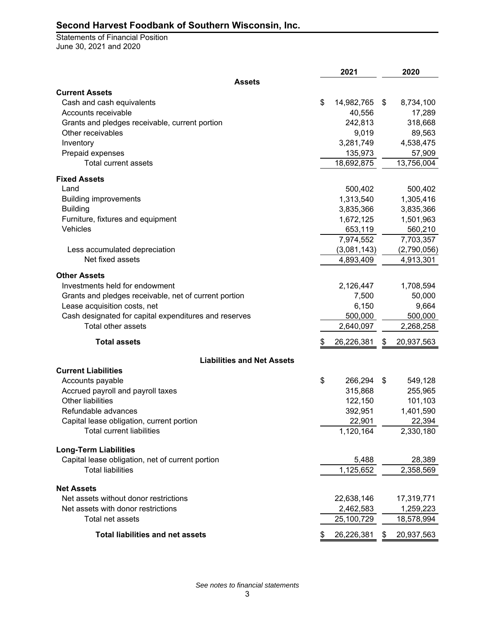Statements of Financial Position June 30, 2021 and 2020

|                                                            |    | 2021                    | 2020                    |
|------------------------------------------------------------|----|-------------------------|-------------------------|
| <b>Assets</b>                                              |    |                         |                         |
| <b>Current Assets</b>                                      |    |                         |                         |
| Cash and cash equivalents                                  | \$ | 14,982,765              | \$<br>8,734,100         |
| Accounts receivable                                        |    | 40,556                  | 17,289                  |
| Grants and pledges receivable, current portion             |    | 242,813                 | 318,668                 |
| Other receivables                                          |    | 9,019                   | 89,563                  |
| Inventory                                                  |    | 3,281,749               | 4,538,475               |
| Prepaid expenses                                           |    | 135,973                 | 57,909                  |
| <b>Total current assets</b>                                |    | 18,692,875              | 13,756,004              |
| <b>Fixed Assets</b>                                        |    |                         |                         |
| Land                                                       |    | 500,402                 | 500,402                 |
| <b>Building improvements</b>                               |    | 1,313,540               | 1,305,416               |
| <b>Building</b>                                            |    | 3,835,366               | 3,835,366               |
| Furniture, fixtures and equipment                          |    | 1,672,125               | 1,501,963               |
| Vehicles                                                   |    | 653,119                 | 560,210                 |
|                                                            |    | 7,974,552               | 7,703,357               |
| Less accumulated depreciation                              |    | (3,081,143)             | (2,790,056)             |
| Net fixed assets                                           |    | 4,893,409               | 4,913,301               |
| <b>Other Assets</b>                                        |    |                         |                         |
| Investments held for endowment                             |    | 2,126,447               | 1,708,594               |
| Grants and pledges receivable, net of current portion      |    | 7,500                   | 50,000                  |
| Lease acquisition costs, net                               |    | 6,150                   | 9,664                   |
| Cash designated for capital expenditures and reserves      |    | 500,000                 | 500,000                 |
| Total other assets                                         |    | 2,640,097               | 2,268,258               |
| <b>Total assets</b>                                        | \$ | 26,226,381              | \$<br>20,937,563        |
| <b>Liabilities and Net Assets</b>                          |    |                         |                         |
| <b>Current Liabilities</b>                                 |    |                         |                         |
| Accounts payable                                           | \$ | 266,294                 | \$<br>549,128           |
| Accrued payroll and payroll taxes                          |    | 315,868                 | 255,965                 |
| Other liabilities                                          |    | 122,150                 | 101,103                 |
| Refundable advances                                        |    | 392,951                 | 1,401,590               |
| Capital lease obligation, current portion                  |    | 22,901                  | 22,394                  |
| <b>Total current liabilities</b>                           |    | 1,120,164               | 2,330,180               |
| <b>Long-Term Liabilities</b>                               |    |                         |                         |
| Capital lease obligation, net of current portion           |    | 5,488                   | 28,389                  |
| <b>Total liabilities</b>                                   |    | 1,125,652               | 2,358,569               |
|                                                            |    |                         |                         |
| <b>Net Assets</b><br>Net assets without donor restrictions |    |                         | 17,319,771              |
| Net assets with donor restrictions                         |    | 22,638,146              |                         |
| Total net assets                                           |    | 2,462,583<br>25,100,729 | 1,259,223<br>18,578,994 |
| <b>Total liabilities and net assets</b>                    | æ. | 26,226,381              | \$<br>20,937,563        |
|                                                            |    |                         |                         |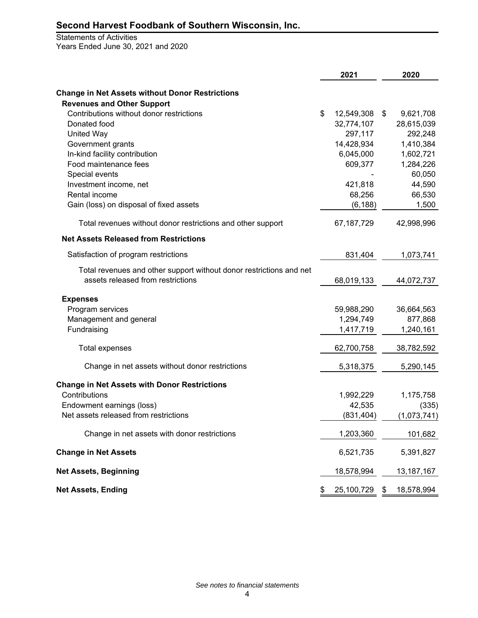#### Statements of Activities Years Ended June 30, 2021 and 2020

|                                                                     | 2021             | 2020             |
|---------------------------------------------------------------------|------------------|------------------|
| <b>Change in Net Assets without Donor Restrictions</b>              |                  |                  |
| <b>Revenues and Other Support</b>                                   |                  |                  |
| Contributions without donor restrictions                            | \$<br>12,549,308 | \$<br>9,621,708  |
| Donated food                                                        | 32,774,107       | 28,615,039       |
| <b>United Way</b>                                                   | 297,117          | 292,248          |
| Government grants                                                   | 14,428,934       | 1,410,384        |
| In-kind facility contribution                                       | 6,045,000        | 1,602,721        |
| Food maintenance fees                                               | 609,377          | 1,284,226        |
| Special events                                                      |                  | 60,050           |
| Investment income, net                                              | 421,818          | 44,590           |
| Rental income                                                       | 68,256           | 66,530           |
| Gain (loss) on disposal of fixed assets                             | (6, 188)         | 1,500            |
| Total revenues without donor restrictions and other support         | 67,187,729       | 42,998,996       |
| <b>Net Assets Released from Restrictions</b>                        |                  |                  |
| Satisfaction of program restrictions                                | 831,404          | 1,073,741        |
| Total revenues and other support without donor restrictions and net |                  |                  |
| assets released from restrictions                                   | 68,019,133       | 44,072,737       |
| <b>Expenses</b>                                                     |                  |                  |
| Program services                                                    | 59,988,290       | 36,664,563       |
| Management and general                                              | 1,294,749        | 877,868          |
| Fundraising                                                         | 1,417,719        | 1,240,161        |
| Total expenses                                                      | 62,700,758       | 38,782,592       |
| Change in net assets without donor restrictions                     | 5,318,375        | 5,290,145        |
| <b>Change in Net Assets with Donor Restrictions</b>                 |                  |                  |
| Contributions                                                       | 1,992,229        | 1,175,758        |
| Endowment earnings (loss)                                           | 42,535           | (335)            |
| Net assets released from restrictions                               | (831, 404)       | (1,073,741)      |
| Change in net assets with donor restrictions                        | 1,203,360        | 101,682          |
| <b>Change in Net Assets</b>                                         | 6,521,735        | 5,391,827        |
| <b>Net Assets, Beginning</b>                                        | 18,578,994       | 13, 187, 167     |
| <b>Net Assets, Ending</b>                                           | \$<br>25,100,729 | \$<br>18,578,994 |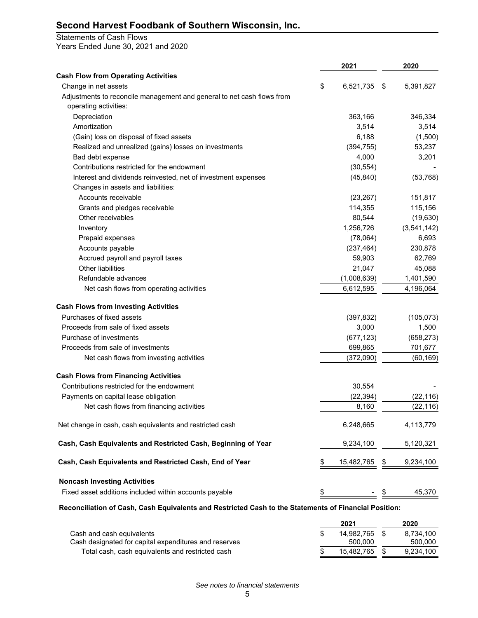#### Statements of Cash Flows

Years Ended June 30, 2021 and 2020

|                                                                        | 2021             | 2020            |
|------------------------------------------------------------------------|------------------|-----------------|
| <b>Cash Flow from Operating Activities</b>                             |                  |                 |
| Change in net assets                                                   | \$<br>6,521,735  | \$<br>5,391,827 |
| Adjustments to reconcile management and general to net cash flows from |                  |                 |
| operating activities:                                                  |                  |                 |
| Depreciation                                                           | 363,166          | 346,334         |
| Amortization                                                           | 3,514            | 3,514           |
| (Gain) loss on disposal of fixed assets                                | 6,188            | (1,500)         |
| Realized and unrealized (gains) losses on investments                  | (394, 755)       | 53,237          |
| Bad debt expense                                                       | 4,000            | 3,201           |
| Contributions restricted for the endowment                             | (30, 554)        |                 |
| Interest and dividends reinvested, net of investment expenses          | (45, 840)        | (53, 768)       |
| Changes in assets and liabilities:                                     |                  |                 |
| Accounts receivable                                                    | (23, 267)        | 151,817         |
| Grants and pledges receivable                                          | 114,355          | 115,156         |
| Other receivables                                                      | 80,544           | (19, 630)       |
| Inventory                                                              | 1,256,726        | (3,541,142)     |
| Prepaid expenses                                                       | (78,064)         | 6,693           |
| Accounts payable                                                       | (237, 464)       | 230,878         |
| Accrued payroll and payroll taxes                                      | 59,903           | 62,769          |
| Other liabilities                                                      | 21,047           | 45,088          |
| Refundable advances                                                    | (1,008,639)      | 1,401,590       |
| Net cash flows from operating activities                               | 6,612,595        | 4,196,064       |
| <b>Cash Flows from Investing Activities</b>                            |                  |                 |
| Purchases of fixed assets                                              | (397, 832)       | (105, 073)      |
| Proceeds from sale of fixed assets                                     | 3,000            | 1,500           |
| Purchase of investments                                                | (677, 123)       | (658, 273)      |
| Proceeds from sale of investments                                      | 699,865          | 701,677         |
| Net cash flows from investing activities                               | (372,090)        | (60, 169)       |
| <b>Cash Flows from Financing Activities</b>                            |                  |                 |
| Contributions restricted for the endowment                             | 30,554           |                 |
| Payments on capital lease obligation                                   | (22, 394)        | (22, 116)       |
| Net cash flows from financing activities                               | 8,160            | (22, 116)       |
| Net change in cash, cash equivalents and restricted cash               | 6,248,665        | 4,113,779       |
| Cash, Cash Equivalents and Restricted Cash, Beginning of Year          | 9,234,100        | 5,120,321       |
| Cash, Cash Equivalents and Restricted Cash, End of Year                | \$<br>15,482,765 | \$<br>9,234,100 |
| <b>Noncash Investing Activities</b>                                    |                  |                 |
| Fixed asset additions included within accounts payable                 | \$               | \$<br>45,370    |

**Reconciliation of Cash, Cash Equivalents and Restricted Cash to the Statements of Financial Position:**

|                                                       | 2021          | 2020      |
|-------------------------------------------------------|---------------|-----------|
| Cash and cash equivalents                             | 14.982.765 \$ | 8.734.100 |
| Cash designated for capital expenditures and reserves | 500.000       | 500.000   |
| Total cash, cash equivalents and restricted cash      | 15.482.765    | 9.234.100 |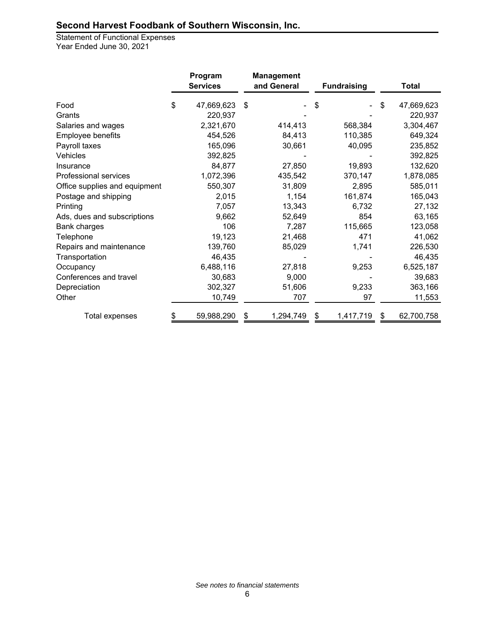Statement of Functional Expenses Year Ended June 30, 2021

|                               | Program<br><b>Services</b> |    | <b>Management</b><br>and General | <b>Fundraising</b> |    | <b>Total</b> |
|-------------------------------|----------------------------|----|----------------------------------|--------------------|----|--------------|
| Food                          | \$<br>47,669,623           | \$ |                                  | \$                 | \$ | 47,669,623   |
| Grants                        | 220,937                    |    |                                  |                    |    | 220,937      |
| Salaries and wages            | 2,321,670                  |    | 414,413                          | 568,384            |    | 3,304,467    |
| Employee benefits             | 454,526                    |    | 84,413                           | 110,385            |    | 649,324      |
| Payroll taxes                 | 165,096                    |    | 30,661                           | 40,095             |    | 235,852      |
| Vehicles                      | 392,825                    |    |                                  |                    |    | 392,825      |
| Insurance                     | 84,877                     |    | 27,850                           | 19,893             |    | 132,620      |
| Professional services         | 1,072,396                  |    | 435,542                          | 370,147            |    | 1,878,085    |
| Office supplies and equipment | 550,307                    |    | 31,809                           | 2,895              |    | 585,011      |
| Postage and shipping          | 2,015                      |    | 1,154                            | 161,874            |    | 165,043      |
| Printing                      | 7,057                      |    | 13,343                           | 6,732              |    | 27,132       |
| Ads, dues and subscriptions   | 9,662                      |    | 52,649                           | 854                |    | 63,165       |
| Bank charges                  | 106                        |    | 7,287                            | 115,665            |    | 123,058      |
| Telephone                     | 19,123                     |    | 21,468                           | 471                |    | 41,062       |
| Repairs and maintenance       | 139,760                    |    | 85,029                           | 1,741              |    | 226,530      |
| Transportation                | 46,435                     |    |                                  |                    |    | 46,435       |
| Occupancy                     | 6,488,116                  |    | 27,818                           | 9,253              |    | 6,525,187    |
| Conferences and travel        | 30,683                     |    | 9,000                            |                    |    | 39,683       |
| Depreciation                  | 302,327                    |    | 51,606                           | 9,233              |    | 363,166      |
| Other                         | 10,749                     |    | 707                              | 97                 |    | 11,553       |
| <b>Total expenses</b>         | 59,988,290                 |    | 1,294,749                        | 1,417,719          | S  | 62,700,758   |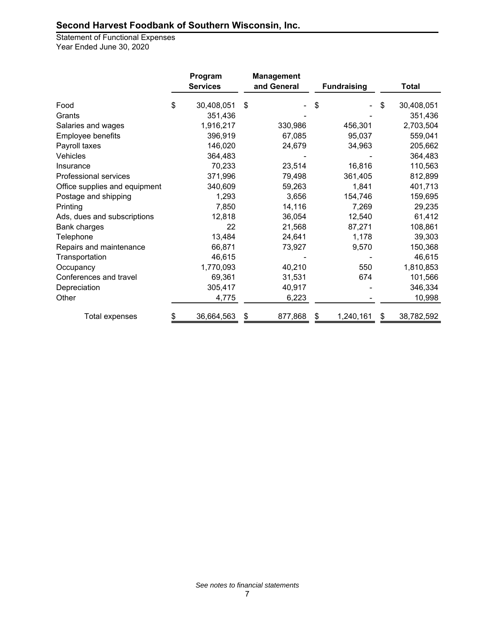Statement of Functional Expenses Year Ended June 30, 2020

|                               |    | Program<br><b>Services</b> |    | <b>Management</b><br>and General | <b>Fundraising</b> |    | <b>Total</b> |
|-------------------------------|----|----------------------------|----|----------------------------------|--------------------|----|--------------|
| Food                          | \$ | 30,408,051                 | \$ |                                  | \$                 | \$ | 30,408,051   |
| Grants                        |    | 351,436                    |    |                                  |                    |    | 351,436      |
| Salaries and wages            |    | 1,916,217                  |    | 330,986                          | 456,301            |    | 2,703,504    |
| Employee benefits             |    | 396,919                    |    | 67,085                           | 95,037             |    | 559,041      |
| Payroll taxes                 |    | 146,020                    |    | 24,679                           | 34,963             |    | 205,662      |
| Vehicles                      |    | 364,483                    |    |                                  |                    |    | 364,483      |
| Insurance                     |    | 70,233                     |    | 23,514                           | 16,816             |    | 110,563      |
| <b>Professional services</b>  |    | 371,996                    |    | 79,498                           | 361,405            |    | 812,899      |
| Office supplies and equipment |    | 340,609                    |    | 59,263                           | 1,841              |    | 401,713      |
| Postage and shipping          |    | 1,293                      |    | 3,656                            | 154,746            |    | 159,695      |
| Printing                      |    | 7,850                      |    | 14,116                           | 7,269              |    | 29,235       |
| Ads, dues and subscriptions   |    | 12,818                     |    | 36,054                           | 12,540             |    | 61,412       |
| Bank charges                  |    | 22                         |    | 21,568                           | 87,271             |    | 108,861      |
| Telephone                     |    | 13,484                     |    | 24,641                           | 1,178              |    | 39,303       |
| Repairs and maintenance       |    | 66,871                     |    | 73,927                           | 9,570              |    | 150,368      |
| Transportation                |    | 46,615                     |    |                                  |                    |    | 46,615       |
| Occupancy                     |    | 1,770,093                  |    | 40,210                           | 550                |    | 1,810,853    |
| Conferences and travel        |    | 69,361                     |    | 31,531                           | 674                |    | 101,566      |
| Depreciation                  |    | 305,417                    |    | 40,917                           |                    |    | 346,334      |
| Other                         |    | 4,775                      |    | 6,223                            |                    |    | 10,998       |
| Total expenses                | S  | 36,664,563                 | \$ | 877,868                          | 1,240,161          | S  | 38,782,592   |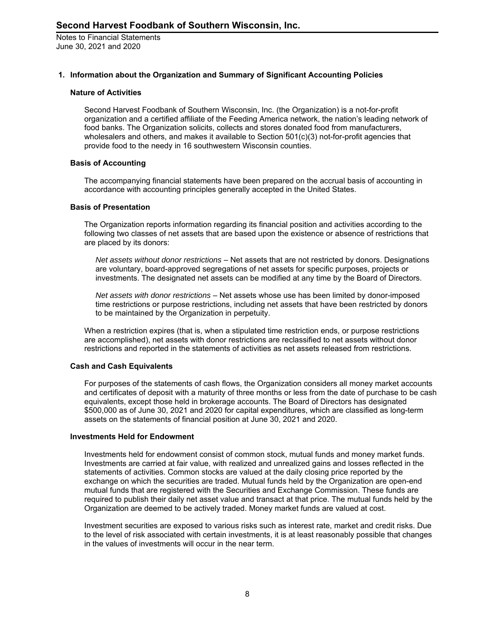#### **1. Information about the Organization and Summary of Significant Accounting Policies**

#### **Nature of Activities**

Second Harvest Foodbank of Southern Wisconsin, Inc. (the Organization) is a not-for-profit organization and a certified affiliate of the Feeding America network, the nation's leading network of food banks. The Organization solicits, collects and stores donated food from manufacturers, wholesalers and others, and makes it available to Section 501(c)(3) not-for-profit agencies that provide food to the needy in 16 southwestern Wisconsin counties.

#### **Basis of Accounting**

The accompanying financial statements have been prepared on the accrual basis of accounting in accordance with accounting principles generally accepted in the United States.

#### **Basis of Presentation**

The Organization reports information regarding its financial position and activities according to the following two classes of net assets that are based upon the existence or absence of restrictions that are placed by its donors:

*Net assets without donor restrictions* – Net assets that are not restricted by donors. Designations are voluntary, board-approved segregations of net assets for specific purposes, projects or investments. The designated net assets can be modified at any time by the Board of Directors.

*Net assets with donor restrictions* – Net assets whose use has been limited by donor-imposed time restrictions or purpose restrictions, including net assets that have been restricted by donors to be maintained by the Organization in perpetuity.

When a restriction expires (that is, when a stipulated time restriction ends, or purpose restrictions are accomplished), net assets with donor restrictions are reclassified to net assets without donor restrictions and reported in the statements of activities as net assets released from restrictions.

# **Cash and Cash Equivalents**

For purposes of the statements of cash flows, the Organization considers all money market accounts and certificates of deposit with a maturity of three months or less from the date of purchase to be cash equivalents, except those held in brokerage accounts. The Board of Directors has designated \$500,000 as of June 30, 2021 and 2020 for capital expenditures, which are classified as long-term assets on the statements of financial position at June 30, 2021 and 2020.

#### **Investments Held for Endowment**

Investments held for endowment consist of common stock, mutual funds and money market funds. Investments are carried at fair value, with realized and unrealized gains and losses reflected in the statements of activities. Common stocks are valued at the daily closing price reported by the exchange on which the securities are traded. Mutual funds held by the Organization are open-end mutual funds that are registered with the Securities and Exchange Commission. These funds are required to publish their daily net asset value and transact at that price. The mutual funds held by the Organization are deemed to be actively traded. Money market funds are valued at cost.

Investment securities are exposed to various risks such as interest rate, market and credit risks. Due to the level of risk associated with certain investments, it is at least reasonably possible that changes in the values of investments will occur in the near term.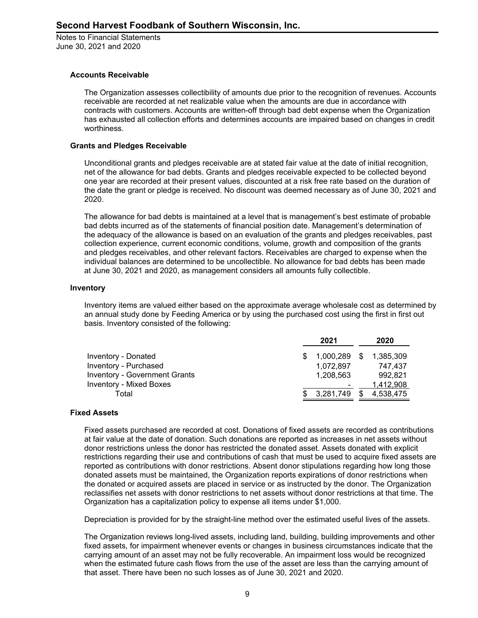#### **Accounts Receivable**

The Organization assesses collectibility of amounts due prior to the recognition of revenues. Accounts receivable are recorded at net realizable value when the amounts are due in accordance with contracts with customers. Accounts are written-off through bad debt expense when the Organization has exhausted all collection efforts and determines accounts are impaired based on changes in credit worthiness.

#### **Grants and Pledges Receivable**

Unconditional grants and pledges receivable are at stated fair value at the date of initial recognition, net of the allowance for bad debts. Grants and pledges receivable expected to be collected beyond one year are recorded at their present values, discounted at a risk free rate based on the duration of the date the grant or pledge is received. No discount was deemed necessary as of June 30, 2021 and 2020.

The allowance for bad debts is maintained at a level that is management's best estimate of probable bad debts incurred as of the statements of financial position date. Management's determination of the adequacy of the allowance is based on an evaluation of the grants and pledges receivables, past collection experience, current economic conditions, volume, growth and composition of the grants and pledges receivables, and other relevant factors. Receivables are charged to expense when the individual balances are determined to be uncollectible. No allowance for bad debts has been made at June 30, 2021 and 2020, as management considers all amounts fully collectible.

#### **Inventory**

Inventory items are valued either based on the approximate average wholesale cost as determined by an annual study done by Feeding America or by using the purchased cost using the first in first out basis. Inventory consisted of the following:

|                                      | 2021            |      | 2020      |
|--------------------------------------|-----------------|------|-----------|
| Inventory - Donated                  | $$1,000,289$ \$ |      | 1.385.309 |
| Inventory - Purchased                | 1.072.897       |      | 747.437   |
| <b>Inventory - Government Grants</b> | 1,208,563       |      | 992.821   |
| Inventory - Mixed Boxes              |                 |      | 1.412.908 |
| Total                                | \$3.281.749     | - \$ | 4,538,475 |

#### **Fixed Assets**

Fixed assets purchased are recorded at cost. Donations of fixed assets are recorded as contributions at fair value at the date of donation. Such donations are reported as increases in net assets without donor restrictions unless the donor has restricted the donated asset. Assets donated with explicit restrictions regarding their use and contributions of cash that must be used to acquire fixed assets are reported as contributions with donor restrictions. Absent donor stipulations regarding how long those donated assets must be maintained, the Organization reports expirations of donor restrictions when the donated or acquired assets are placed in service or as instructed by the donor. The Organization reclassifies net assets with donor restrictions to net assets without donor restrictions at that time. The Organization has a capitalization policy to expense all items under \$1,000.

Depreciation is provided for by the straight-line method over the estimated useful lives of the assets.

The Organization reviews long-lived assets, including land, building, building improvements and other fixed assets, for impairment whenever events or changes in business circumstances indicate that the carrying amount of an asset may not be fully recoverable. An impairment loss would be recognized when the estimated future cash flows from the use of the asset are less than the carrying amount of that asset. There have been no such losses as of June 30, 2021 and 2020.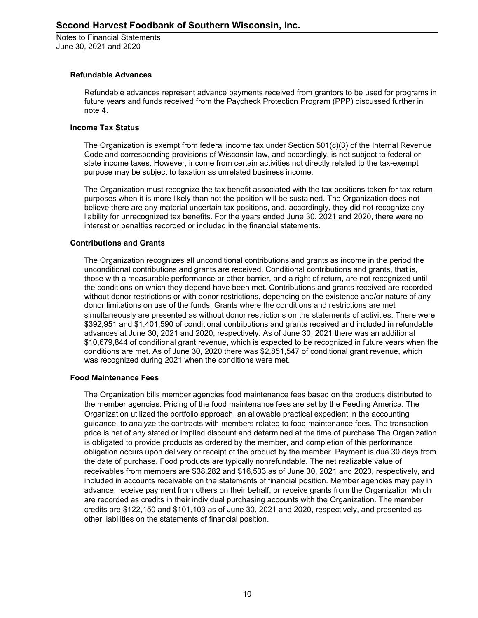# **Refundable Advances**

Refundable advances represent advance payments received from grantors to be used for programs in future years and funds received from the Paycheck Protection Program (PPP) discussed further in note 4.

#### **Income Tax Status**

The Organization is exempt from federal income tax under Section  $501(c)(3)$  of the Internal Revenue Code and corresponding provisions of Wisconsin law, and accordingly, is not subject to federal or state income taxes. However, income from certain activities not directly related to the tax-exempt purpose may be subject to taxation as unrelated business income.

The Organization must recognize the tax benefit associated with the tax positions taken for tax return purposes when it is more likely than not the position will be sustained. The Organization does not believe there are any material uncertain tax positions, and, accordingly, they did not recognize any liability for unrecognized tax benefits. For the years ended June 30, 2021 and 2020, there were no interest or penalties recorded or included in the financial statements.

# **Contributions and Grants**

The Organization recognizes all unconditional contributions and grants as income in the period the unconditional contributions and grants are received. Conditional contributions and grants, that is, those with a measurable performance or other barrier, and a right of return, are not recognized until the conditions on which they depend have been met. Contributions and grants received are recorded without donor restrictions or with donor restrictions, depending on the existence and/or nature of any donor limitations on use of the funds. Grants where the conditions and restrictions are met simultaneously are presented as without donor restrictions on the statements of activities. There were \$392,951 and \$1,401,590 of conditional contributions and grants received and included in refundable advances at June 30, 2021 and 2020, respectively. As of June 30, 2021 there was an additional \$10,679,844 of conditional grant revenue, which is expected to be recognized in future years when the conditions are met. As of June 30, 2020 there was \$2,851,547 of conditional grant revenue, which was recognized during 2021 when the conditions were met.

# **Food Maintenance Fees**

The Organization bills member agencies food maintenance fees based on the products distributed to the member agencies. Pricing of the food maintenance fees are set by the Feeding America. The Organization utilized the portfolio approach, an allowable practical expedient in the accounting guidance, to analyze the contracts with members related to food maintenance fees. The transaction price is net of any stated or implied discount and determined at the time of purchase.The Organization is obligated to provide products as ordered by the member, and completion of this performance obligation occurs upon delivery or receipt of the product by the member. Payment is due 30 days from the date of purchase. Food products are typically nonrefundable. The net realizable value of receivables from members are \$38,282 and \$16,533 as of June 30, 2021 and 2020, respectively, and included in accounts receivable on the statements of financial position. Member agencies may pay in advance, receive payment from others on their behalf, or receive grants from the Organization which are recorded as credits in their individual purchasing accounts with the Organization. The member credits are \$122,150 and \$101,103 as of June 30, 2021 and 2020, respectively, and presented as other liabilities on the statements of financial position.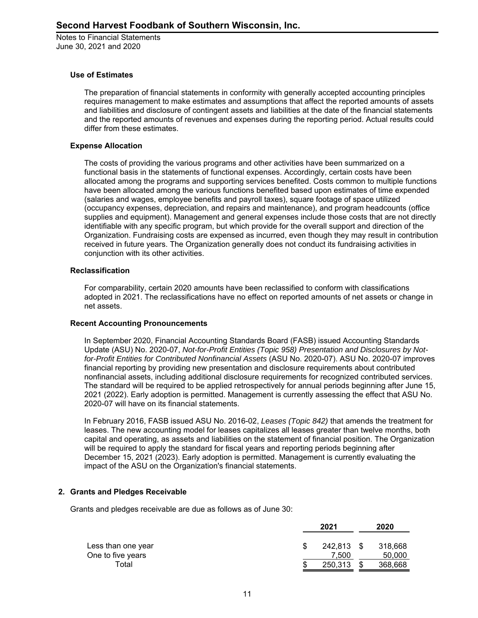#### **Use of Estimates**

The preparation of financial statements in conformity with generally accepted accounting principles requires management to make estimates and assumptions that affect the reported amounts of assets and liabilities and disclosure of contingent assets and liabilities at the date of the financial statements and the reported amounts of revenues and expenses during the reporting period. Actual results could differ from these estimates.

#### **Expense Allocation**

The costs of providing the various programs and other activities have been summarized on a functional basis in the statements of functional expenses. Accordingly, certain costs have been allocated among the programs and supporting services benefited. Costs common to multiple functions have been allocated among the various functions benefited based upon estimates of time expended (salaries and wages, employee benefits and payroll taxes), square footage of space utilized (occupancy expenses, depreciation, and repairs and maintenance), and program headcounts (office supplies and equipment). Management and general expenses include those costs that are not directly identifiable with any specific program, but which provide for the overall support and direction of the Organization. Fundraising costs are expensed as incurred, even though they may result in contribution received in future years. The Organization generally does not conduct its fundraising activities in conjunction with its other activities.

#### **Reclassification**

For comparability, certain 2020 amounts have been reclassified to conform with classifications adopted in 2021. The reclassifications have no effect on reported amounts of net assets or change in net assets.

#### **Recent Accounting Pronouncements**

In September 2020, Financial Accounting Standards Board (FASB) issued Accounting Standards Update (ASU) No. 2020-07, *Not-for-Profit Entities (Topic 958) Presentation and Disclosures by Notfor-Profit Entities for Contributed Nonfinancial Assets* (ASU No. 2020-07). ASU No. 2020-07 improves financial reporting by providing new presentation and disclosure requirements about contributed nonfinancial assets, including additional disclosure requirements for recognized contributed services. The standard will be required to be applied retrospectively for annual periods beginning after June 15, 2021 (2022). Early adoption is permitted. Management is currently assessing the effect that ASU No. 2020-07 will have on its financial statements.

In February 2016, FASB issued ASU No. 2016-02, *Leases (Topic 842)* that amends the treatment for leases. The new accounting model for leases capitalizes all leases greater than twelve months, both capital and operating, as assets and liabilities on the statement of financial position. The Organization will be required to apply the standard for fiscal years and reporting periods beginning after December 15, 2021 (2023). Early adoption is permitted. Management is currently evaluating the impact of the ASU on the Organization's financial statements.

#### **2. Grants and Pledges Receivable**

Grants and pledges receivable are due as follows as of June 30:

|                    |    | 2021    | 2020 |         |  |
|--------------------|----|---------|------|---------|--|
| Less than one year | S  | 242.813 | - \$ | 318.668 |  |
| One to five years  |    | 7.500   |      | 50,000  |  |
| Total              | \$ | 250,313 | S    | 368,668 |  |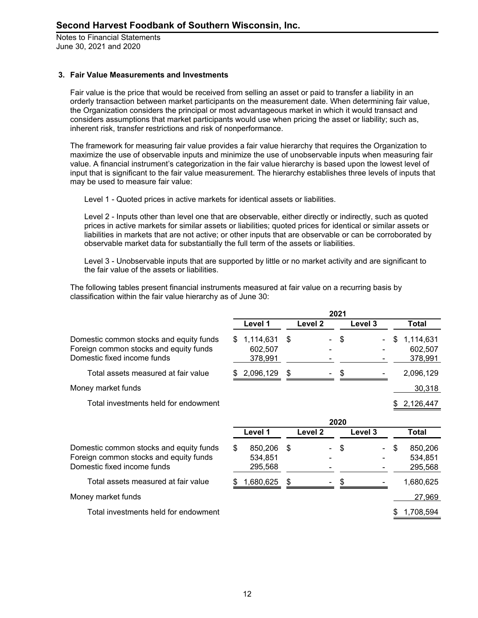# **3. Fair Value Measurements and Investments**

Fair value is the price that would be received from selling an asset or paid to transfer a liability in an orderly transaction between market participants on the measurement date. When determining fair value, the Organization considers the principal or most advantageous market in which it would transact and considers assumptions that market participants would use when pricing the asset or liability; such as, inherent risk, transfer restrictions and risk of nonperformance.

The framework for measuring fair value provides a fair value hierarchy that requires the Organization to maximize the use of observable inputs and minimize the use of unobservable inputs when measuring fair value. A financial instrument's categorization in the fair value hierarchy is based upon the lowest level of input that is significant to the fair value measurement. The hierarchy establishes three levels of inputs that may be used to measure fair value:

Level 1 - Quoted prices in active markets for identical assets or liabilities.

Level 2 - Inputs other than level one that are observable, either directly or indirectly, such as quoted prices in active markets for similar assets or liabilities; quoted prices for identical or similar assets or liabilities in markets that are not active; or other inputs that are observable or can be corroborated by observable market data for substantially the full term of the assets or liabilities.

Level 3 - Unobservable inputs that are supported by little or no market activity and are significant to the fair value of the assets or liabilities.

The following tables present financial instruments measured at fair value on a recurring basis by classification within the fair value hierarchy as of June 30:

|                                                                                                                  | 2021 |                                 |    |         |      |         |    |                                 |
|------------------------------------------------------------------------------------------------------------------|------|---------------------------------|----|---------|------|---------|----|---------------------------------|
|                                                                                                                  |      | Level 1                         |    | Level 2 |      | Level 3 |    | Total                           |
| Domestic common stocks and equity funds<br>Foreign common stocks and equity funds<br>Domestic fixed income funds | S    | 1,114,631<br>602,507<br>378,991 | \$ |         | \$   |         | S  | 1,114,631<br>602,507<br>378,991 |
| Total assets measured at fair value                                                                              | S    | 2,096,129                       | \$ |         | S    |         |    | 2,096,129                       |
| Money market funds                                                                                               |      |                                 |    |         |      |         |    | 30,318                          |
| Total investments held for endowment                                                                             |      |                                 |    |         |      |         |    | 2,126,447                       |
|                                                                                                                  |      |                                 |    |         | 2020 |         |    |                                 |
|                                                                                                                  |      | Level 1                         |    | Level 2 |      | Level 3 |    | Total                           |
| Domestic common stocks and equity funds<br>Foreign common stocks and equity funds<br>Domestic fixed income funds | \$   | 850,206<br>534,851<br>295,568   | \$ |         | \$   |         | \$ | 850,206<br>534,851<br>295,568   |
| Total assets measured at fair value                                                                              |      | 1,680,625                       | \$ |         |      |         |    | 1,680,625                       |
| Money market funds                                                                                               |      |                                 |    |         |      |         |    | 27,969                          |
| Total investments held for endowment                                                                             |      |                                 |    |         |      |         |    | 1,708,594                       |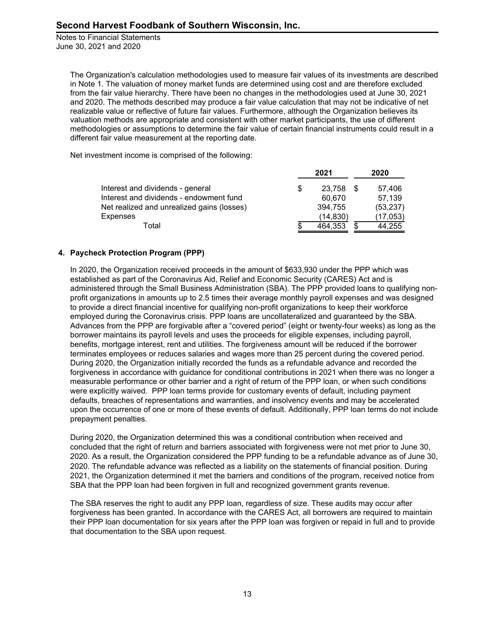> The Organization's calculation methodologies used to measure fair values of its investments are described in Note 1. The valuation of money market funds are determined using cost and are therefore excluded from the fair value hierarchy. There have been no changes in the methodologies used at June 30, 2021 and 2020. The methods described may produce a fair value calculation that may not be indicative of net realizable value or reflective of future fair values. Furthermore, although the Organization believes its valuation methods are appropriate and consistent with other market participants, the use of different methodologies or assumptions to determine the fair value of certain financial instruments could result in a different fair value measurement at the reporting date.

Net investment income is comprised of the following:

|                                            |   | 2021      | 2020      |  |
|--------------------------------------------|---|-----------|-----------|--|
| Interest and dividends - general           | S | 23.758    | 57,406    |  |
| Interest and dividends - endowment fund    |   | 60.670    | 57,139    |  |
| Net realized and unrealized gains (losses) |   | 394.755   | (53, 237) |  |
| Expenses                                   |   | (14, 830) | (17, 053) |  |
| Total                                      |   | 464,353   | 44.255    |  |

# **4. Paycheck Protection Program (PPP)**

In 2020, the Organization received proceeds in the amount of \$633,930 under the PPP which was established as part of the Coronavirus Aid, Relief and Economic Security (CARES) Act and is administered through the Small Business Administration (SBA). The PPP provided loans to qualifying nonprofit organizations in amounts up to 2.5 times their average monthly payroll expenses and was designed to provide a direct financial incentive for qualifying non-profit organizations to keep their workforce employed during the Coronavirus crisis. PPP loans are uncollateralized and guaranteed by the SBA. Advances from the PPP are forgivable after a "covered period" (eight or twenty-four weeks) as long as the borrower maintains its payroll levels and uses the proceeds for eligible expenses, including payroll, benefits, mortgage interest, rent and utilities. The forgiveness amount will be reduced if the borrower terminates employees or reduces salaries and wages more than 25 percent during the covered period. During 2020, the Organization initially recorded the funds as a refundable advance and recorded the forgiveness in accordance with guidance for conditional contributions in 2021 when there was no longer a measurable performance or other barrier and a right of return of the PPP loan, or when such conditions were explicitly waived. PPP loan terms provide for customary events of default, including payment defaults, breaches of representations and warranties, and insolvency events and may be accelerated upon the occurrence of one or more of these events of default. Additionally, PPP loan terms do not include prepayment penalties.

During 2020, the Organization determined this was a conditional contribution when received and concluded that the right of return and barriers associated with forgiveness were not met prior to June 30, 2020. As a result, the Organization considered the PPP funding to be a refundable advance as of June 30, 2020. The refundable advance was reflected as a liability on the statements of financial position. During 2021, the Organization determined it met the barriers and conditions of the program, received notice from SBA that the PPP loan had been forgiven in full and recognized government grants revenue.

The SBA reserves the right to audit any PPP loan, regardless of size. These audits may occur after forgiveness has been granted. In accordance with the CARES Act, all borrowers are required to maintain their PPP loan documentation for six years after the PPP loan was forgiven or repaid in full and to provide that documentation to the SBA upon request.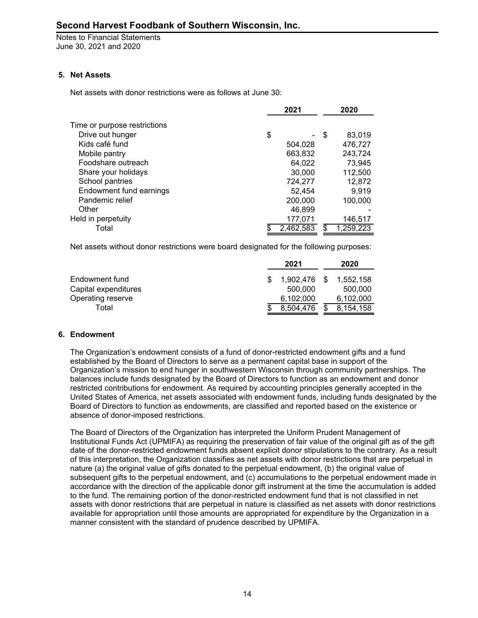# **5. Net Assets**

Net assets with donor restrictions were as follows at June 30:

|                              | 2021      |      | 2020      |  |  |
|------------------------------|-----------|------|-----------|--|--|
| Time or purpose restrictions |           |      |           |  |  |
| Drive out hunger             | \$        | - \$ | 83,019    |  |  |
| Kids café fund               | 504,028   |      | 476,727   |  |  |
| Mobile pantry                | 663,832   |      | 243,724   |  |  |
| Foodshare outreach           | 64,022    |      | 73,945    |  |  |
| Share your holidays          | 30,000    |      | 112,500   |  |  |
| School pantries              | 724,277   |      | 12,872    |  |  |
| Endowment fund earnings      | 52.454    |      | 9.919     |  |  |
| Pandemic relief              | 200,000   |      | 100,000   |  |  |
| Other                        | 46.899    |      |           |  |  |
| Held in perpetuity           | 177,071   |      | 146,517   |  |  |
| Total                        | 2.462.583 |      | 1,259,223 |  |  |

Net assets without donor restrictions were board designated for the following purposes:

|                      | 2021                   | 2020      |
|----------------------|------------------------|-----------|
| Endowment fund       | 1.902.476 \$ 1.552.158 |           |
| Capital expenditures | 500,000                | 500,000   |
| Operating reserve    | 6.102.000              | 6.102.000 |
| Total                | 8.504.476              | 8.154.158 |

# **6. Endowment**

The Organization's endowment consists of a fund of donor-restricted endowment gifts and a fund established by the Board of Directors to serve as a permanent capital base in support of the Organization's mission to end hunger in southwestern Wisconsin through community partnerships. The balances include funds designated by the Board of Directors to function as an endowment and donor restricted contributions for endowment. As required by accounting principles generally accepted in the United States of America, net assets associated with endowment funds, including funds designated by the Board of Directors to function as endowments, are classified and reported based on the existence or absence of donor-imposed restrictions.

The Board of Directors of the Organization has interpreted the Uniform Prudent Management of Institutional Funds Act (UPMIFA) as requiring the preservation of fair value of the original gift as of the gift date of the donor-restricted endowment funds absent explicit donor stipulations to the contrary. As a result of this interpretation, the Organization classifies as net assets with donor restrictions that are perpetual in nature (a) the original value of gifts donated to the perpetual endowment, (b) the original value of subsequent gifts to the perpetual endowment, and (c) accumulations to the perpetual endowment made in accordance with the direction of the applicable donor gift instrument at the time the accumulation is added to the fund. The remaining portion of the donor-restricted endowment fund that is not classified in net assets with donor restrictions that are perpetual in nature is classified as net assets with donor restrictions available for appropriation until those amounts are appropriated for expenditure by the Organization in a manner consistent with the standard of prudence described by UPMIFA.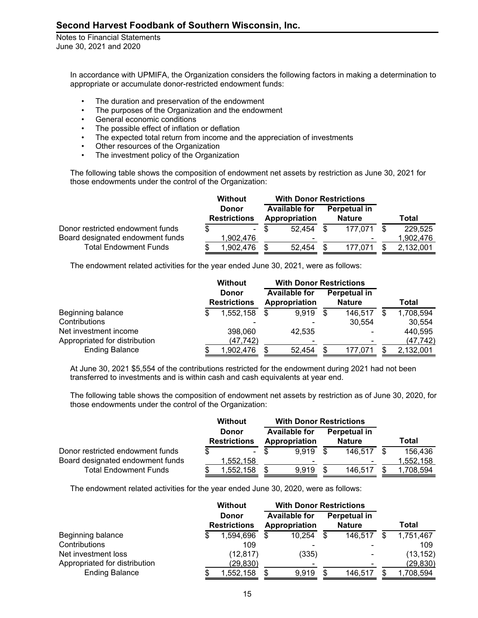> In accordance with UPMIFA, the Organization considers the following factors in making a determination to appropriate or accumulate donor-restricted endowment funds:

- The duration and preservation of the endowment
- The purposes of the Organization and the endowment
- General economic conditions
- The possible effect of inflation or deflation
- The expected total return from income and the appreciation of investments
- Other resources of the Organization
- The investment policy of the Organization

The following table shows the composition of endowment net assets by restriction as June 30, 2021 for those endowments under the control of the Organization:

|                                  | <b>Without</b> |                                     | <b>With Donor Restrictions</b> |                                       |  |                               |     |           |
|----------------------------------|----------------|-------------------------------------|--------------------------------|---------------------------------------|--|-------------------------------|-----|-----------|
|                                  |                | <b>Donor</b><br><b>Restrictions</b> |                                | <b>Available for</b><br>Appropriation |  | Perpetual in<br><b>Nature</b> |     | Total     |
| Donor restricted endowment funds |                | $\sim$                              |                                | 52.454                                |  | 177.071                       | -\$ | 229,525   |
| Board designated endowment funds |                | 1.902.476                           |                                | $\overline{\phantom{a}}$              |  | $\overline{\phantom{0}}$      |     | 1,902,476 |
| <b>Total Endowment Funds</b>     |                | 1,902,476                           |                                | 52,454                                |  | 177.071                       |     | 2.132.001 |

The endowment related activities for the year ended June 30, 2021, were as follows:

|                               | <b>Without</b>                      | <b>With Donor Restrictions</b>        |     |                               |                 |
|-------------------------------|-------------------------------------|---------------------------------------|-----|-------------------------------|-----------------|
|                               | <b>Donor</b><br><b>Restrictions</b> | <b>Available for</b><br>Appropriation |     | Perpetual in<br><b>Nature</b> | Total           |
| Beginning balance             | 1,552,158                           | 9,919                                 | -S  | 146,517                       | 1,708,594       |
| Contributions                 |                                     | ٠                                     |     | 30,554                        | 30,554          |
| Net investment income         | 398,060                             | 42,535                                |     | $\overline{\phantom{0}}$      | 440,595         |
| Appropriated for distribution | (47, 742)                           | ۰                                     |     |                               | (47, 742)       |
| <b>Ending Balance</b>         | 1,902,476                           | 52,454                                | \$. | 177.071                       | \$<br>2,132,001 |

At June 30, 2021 \$5,554 of the contributions restricted for the endowment during 2021 had not been transferred to investments and is within cash and cash equivalents at year end.

The following table shows the composition of endowment net assets by restriction as of June 30, 2020, for those endowments under the control of the Organization:

|                                  | <b>Without</b> |                                     | <b>With Donor Restrictions</b> |                                       |    |                               |      |           |
|----------------------------------|----------------|-------------------------------------|--------------------------------|---------------------------------------|----|-------------------------------|------|-----------|
|                                  |                | <b>Donor</b><br><b>Restrictions</b> |                                | <b>Available for</b><br>Appropriation |    | Perpetual in<br><b>Nature</b> |      | Total     |
| Donor restricted endowment funds |                | $\sim 100$                          |                                | 9.919                                 | -S | 146,517                       | - \$ | 156,436   |
| Board designated endowment funds |                | 1,552,158                           |                                | ۰                                     |    |                               |      | 1,552,158 |
| <b>Total Endowment Funds</b>     |                | ,552,158                            |                                | 9.919                                 |    | 146.517                       |      | ,708,594  |

The endowment related activities for the year ended June 30, 2020, were as follows:

|                               | Without |                                     | <b>With Donor Restrictions</b> |                                       |   |                               |     |           |
|-------------------------------|---------|-------------------------------------|--------------------------------|---------------------------------------|---|-------------------------------|-----|-----------|
|                               |         | <b>Donor</b><br><b>Restrictions</b> |                                | <b>Available for</b><br>Appropriation |   | Perpetual in<br><b>Nature</b> |     | Total     |
| Beginning balance             |         | 1,594,696                           |                                | 10,254                                | S | 146,517                       | \$. | 1,751,467 |
| Contributions                 |         | 109                                 |                                | $\blacksquare$                        |   |                               |     | 109       |
| Net investment loss           |         | (12, 817)                           |                                | (335)                                 |   |                               |     | (13, 152) |
| Appropriated for distribution |         | (29, 830)                           |                                | ۰                                     |   |                               |     | (29, 830) |
| <b>Ending Balance</b>         |         | 1,552,158                           |                                | 9,919                                 |   | 146,517                       |     | 1,708,594 |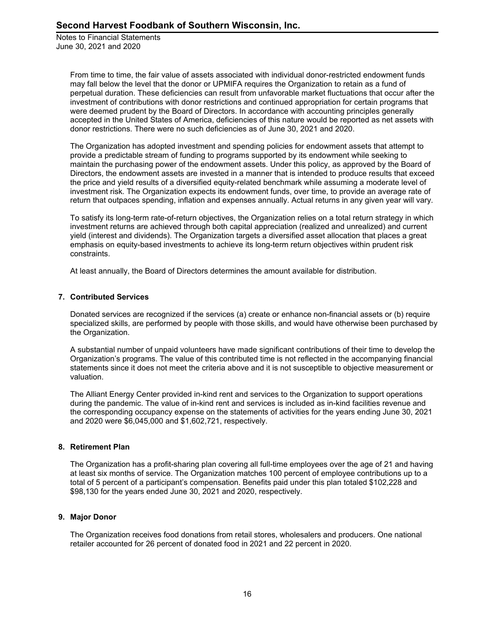> From time to time, the fair value of assets associated with individual donor-restricted endowment funds may fall below the level that the donor or UPMIFA requires the Organization to retain as a fund of perpetual duration. These deficiencies can result from unfavorable market fluctuations that occur after the investment of contributions with donor restrictions and continued appropriation for certain programs that were deemed prudent by the Board of Directors. In accordance with accounting principles generally accepted in the United States of America, deficiencies of this nature would be reported as net assets with donor restrictions. There were no such deficiencies as of June 30, 2021 and 2020.

> The Organization has adopted investment and spending policies for endowment assets that attempt to provide a predictable stream of funding to programs supported by its endowment while seeking to maintain the purchasing power of the endowment assets. Under this policy, as approved by the Board of Directors, the endowment assets are invested in a manner that is intended to produce results that exceed the price and yield results of a diversified equity-related benchmark while assuming a moderate level of investment risk. The Organization expects its endowment funds, over time, to provide an average rate of return that outpaces spending, inflation and expenses annually. Actual returns in any given year will vary.

> To satisfy its long-term rate-of-return objectives, the Organization relies on a total return strategy in which investment returns are achieved through both capital appreciation (realized and unrealized) and current yield (interest and dividends). The Organization targets a diversified asset allocation that places a great emphasis on equity-based investments to achieve its long-term return objectives within prudent risk constraints.

At least annually, the Board of Directors determines the amount available for distribution.

# **7. Contributed Services**

Donated services are recognized if the services (a) create or enhance non-financial assets or (b) require specialized skills, are performed by people with those skills, and would have otherwise been purchased by the Organization.

A substantial number of unpaid volunteers have made significant contributions of their time to develop the Organization's programs. The value of this contributed time is not reflected in the accompanying financial statements since it does not meet the criteria above and it is not susceptible to objective measurement or valuation.

The Alliant Energy Center provided in-kind rent and services to the Organization to support operations during the pandemic. The value of in-kind rent and services is included as in-kind facilities revenue and the corresponding occupancy expense on the statements of activities for the years ending June 30, 2021 and 2020 were \$6,045,000 and \$1,602,721, respectively.

# **8. Retirement Plan**

The Organization has a profit-sharing plan covering all full-time employees over the age of 21 and having at least six months of service. The Organization matches 100 percent of employee contributions up to a total of 5 percent of a participant's compensation. Benefits paid under this plan totaled \$102,228 and \$98,130 for the years ended June 30, 2021 and 2020, respectively.

# **9. Major Donor**

The Organization receives food donations from retail stores, wholesalers and producers. One national retailer accounted for 26 percent of donated food in 2021 and 22 percent in 2020.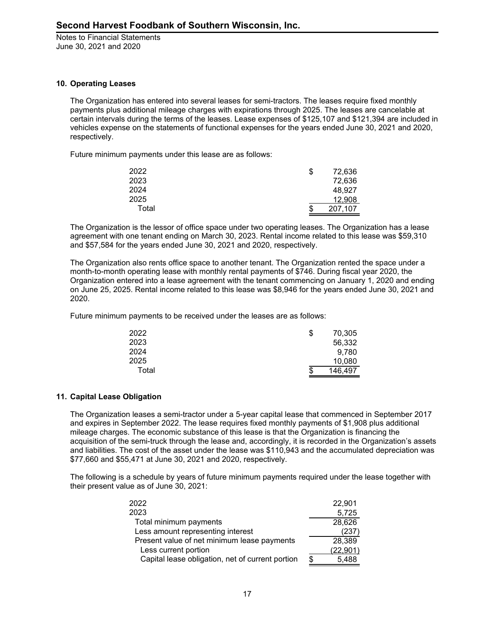#### **10. Operating Leases**

The Organization has entered into several leases for semi-tractors. The leases require fixed monthly payments plus additional mileage charges with expirations through 2025. The leases are cancelable at certain intervals during the terms of the leases. Lease expenses of \$125,107 and \$121,394 are included in vehicles expense on the statements of functional expenses for the years ended June 30, 2021 and 2020, respectively.

Future minimum payments under this lease are as follows:

| 2022  | \$<br>72,636  |
|-------|---------------|
| 2023  | 72,636        |
| 2024  | 48.927        |
| 2025  | 12,908        |
| Total | \$<br>207,107 |

The Organization is the lessor of office space under two operating leases. The Organization has a lease agreement with one tenant ending on March 30, 2023. Rental income related to this lease was \$59,310 and \$57,584 for the years ended June 30, 2021 and 2020, respectively.

The Organization also rents office space to another tenant. The Organization rented the space under a month-to-month operating lease with monthly rental payments of \$746. During fiscal year 2020, the Organization entered into a lease agreement with the tenant commencing on January 1, 2020 and ending on June 25, 2025. Rental income related to this lease was \$8,946 for the years ended June 30, 2021 and 2020.

Future minimum payments to be received under the leases are as follows:

| 2022  | 70,305<br>S  |  |
|-------|--------------|--|
| 2023  | 56,332       |  |
| 2024  | 9,780        |  |
| 2025  | 10,080       |  |
| Total | 146,497<br>S |  |

# **11. Capital Lease Obligation**

The Organization leases a semi-tractor under a 5-year capital lease that commenced in September 2017 and expires in September 2022. The lease requires fixed monthly payments of \$1,908 plus additional mileage charges. The economic substance of this lease is that the Organization is financing the acquisition of the semi-truck through the lease and, accordingly, it is recorded in the Organization's assets and liabilities. The cost of the asset under the lease was \$110,943 and the accumulated depreciation was \$77,660 and \$55,471 at June 30, 2021 and 2020, respectively.

The following is a schedule by years of future minimum payments required under the lease together with their present value as of June 30, 2021:

| 2022                                             |     | 22,901    |
|--------------------------------------------------|-----|-----------|
| 2023                                             |     | 5,725     |
| Total minimum payments                           |     | 28,626    |
| Less amount representing interest                |     | (237`     |
| Present value of net minimum lease payments      |     | 28,389    |
| Less current portion                             |     | (22, 901) |
| Capital lease obligation, net of current portion | \$. | 5,488     |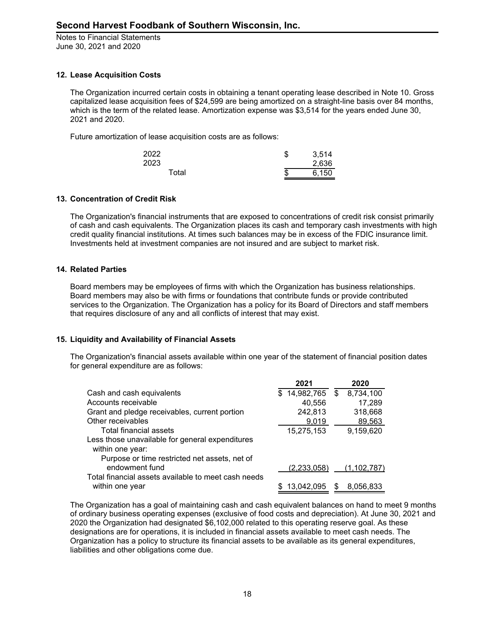# **12. Lease Acquisition Costs**

The Organization incurred certain costs in obtaining a tenant operating lease described in Note 10. Gross capitalized lease acquisition fees of \$24,599 are being amortized on a straight-line basis over 84 months, which is the term of the related lease. Amortization expense was \$3,514 for the years ended June 30, 2021 and 2020.

Future amortization of lease acquisition costs are as follows:

| 2022  | \$ | 3,514 |
|-------|----|-------|
| 2023  |    | 2,636 |
| Total | S  | 6,150 |

# **13. Concentration of Credit Risk**

The Organization's financial instruments that are exposed to concentrations of credit risk consist primarily of cash and cash equivalents. The Organization places its cash and temporary cash investments with high credit quality financial institutions. At times such balances may be in excess of the FDIC insurance limit. Investments held at investment companies are not insured and are subject to market risk.

#### **14. Related Parties**

Board members may be employees of firms with which the Organization has business relationships. Board members may also be with firms or foundations that contribute funds or provide contributed services to the Organization. The Organization has a policy for its Board of Directors and staff members that requires disclosure of any and all conflicts of interest that may exist.

# **15. Liquidity and Availability of Financial Assets**

The Organization's financial assets available within one year of the statement of financial position dates for general expenditure are as follows:

|                                                     | 2021              |    | 2020          |
|-----------------------------------------------------|-------------------|----|---------------|
| Cash and cash equivalents                           | 14,982,765<br>\$. | \$ | 8,734,100     |
| Accounts receivable                                 | 40,556            |    | 17,289        |
| Grant and pledge receivables, current portion       | 242,813           |    | 318,668       |
| Other receivables                                   | 9,019             |    | 89,563        |
| Total financial assets                              | 15,275,153        |    | 9,159,620     |
| Less those unavailable for general expenditures     |                   |    |               |
| within one year:                                    |                   |    |               |
| Purpose or time restricted net assets, net of       |                   |    |               |
| endowment fund                                      | (2,233,058)       |    | (1, 102, 787) |
| Total financial assets available to meet cash needs |                   |    |               |
| within one year                                     | 13,042,095        | S  | 8,056,833     |

The Organization has a goal of maintaining cash and cash equivalent balances on hand to meet 9 months of ordinary business operating expenses (exclusive of food costs and depreciation). At June 30, 2021 and 2020 the Organization had designated \$6,102,000 related to this operating reserve goal. As these designations are for operations, it is included in financial assets available to meet cash needs. The Organization has a policy to structure its financial assets to be available as its general expenditures, liabilities and other obligations come due.